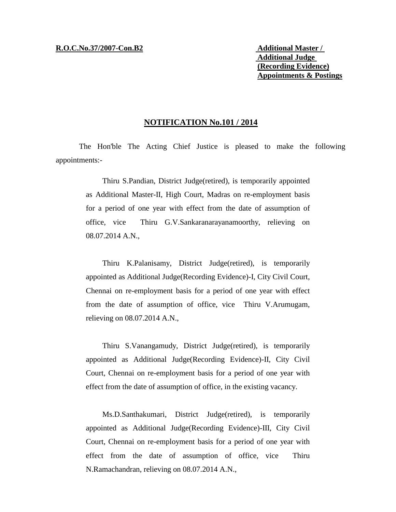**Additional Judge (Recording Evidence) Appointments & Postings**

## **NOTIFICATION No.101 / 2014**

The Hon'ble The Acting Chief Justice is pleased to make the following appointments:-

> Thiru S.Pandian, District Judge(retired), is temporarily appointed as Additional Master-II, High Court, Madras on re-employment basis for a period of one year with effect from the date of assumption of office, vice Thiru G.V.Sankaranarayanamoorthy, relieving on 08.07.2014 A.N.,

> Thiru K.Palanisamy, District Judge(retired), is temporarily appointed as Additional Judge(Recording Evidence)-I, City Civil Court, Chennai on re-employment basis for a period of one year with effect from the date of assumption of office, vice Thiru V.Arumugam, relieving on 08.07.2014 A.N.,

> Thiru S.Vanangamudy, District Judge(retired), is temporarily appointed as Additional Judge(Recording Evidence)-II, City Civil Court, Chennai on re-employment basis for a period of one year with effect from the date of assumption of office, in the existing vacancy.

> Ms.D.Santhakumari, District Judge(retired), is temporarily appointed as Additional Judge(Recording Evidence)-III, City Civil Court, Chennai on re-employment basis for a period of one year with effect from the date of assumption of office, vice Thiru N.Ramachandran, relieving on 08.07.2014 A.N.,